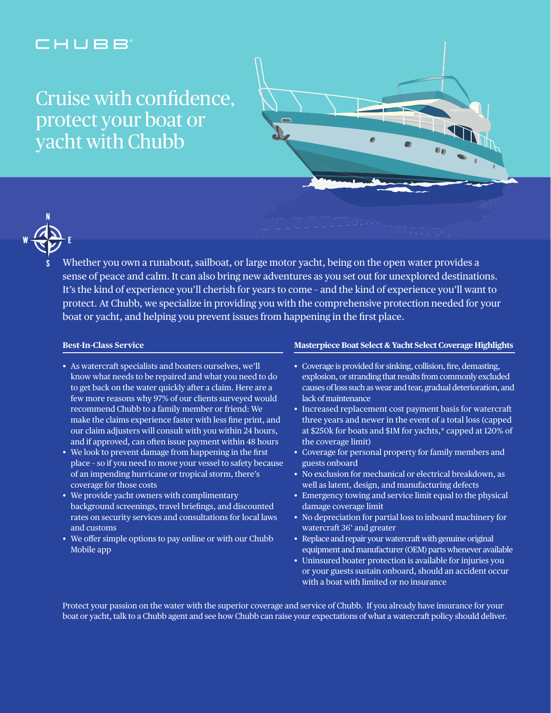## CHUBB

# Cruise with confidence. protect your boat or yacht with Chubb





Whether you own a runabout, sailboat, or large motor yacht, being on the open water provides a sense of peace and calm. It can also bring new adventures as you set out for unexplored destinations. It's the kind of experience you'll cherish for years to come – and the kind of experience you'll want to protect. At Chubb, we specialize in providing you with the comprehensive protection needed for your boat or yacht, and helping you prevent issues from happening in the first place.

#### **Best-In-Class Service**

- As watercraft specialists and boaters ourselves, we'll know what needs to be repaired and what you need to do to get back on the water quickly after a claim. Here are a few more reasons why 97% of our clients surveyed would recommend Chubb to a family member or friend: We make the claims experience faster with less fine print, and our claim adjusters will consult with you within 24 hours, and if approved, can often issue payment within 48 hours
- We look to prevent damage from happening in the first place – so if you need to move your vessel to safety because of an impending hurricane or tropical storm, there's coverage for those costs
- We provide yacht owners with complimentary background screenings, travel briefings, and discounted rates on security services and consultations for local laws and customs
- We offer simple options to pay online or with our Chubb Mobile app

#### **Masterpiece Boat Select & Yacht Select Coverage Highlights**

- Coverage is provided for sinking, collision, fire, demasting, explosion, or stranding that results from commonly excluded causes of loss such as wear and tear, gradual deterioration, and lack of maintenance
- Increased replacement cost payment basis for watercraft three years and newer in the event of a total loss (capped at \$250k for boats and \$1M for yachts,\* capped at 120% of the coverage limit)
- Coverage for personal property for family members and guests onboard
- No exclusion for mechanical or electrical breakdown, as well as latent, design, and manufacturing defects
- Emergency towing and service limit equal to the physical damage coverage limit
- No depreciation for partial loss to inboard machinery for watercraft 36' and greater
- Replace and repair your watercraft with genuine original equipment and manufacturer (OEM) parts whenever available
- Uninsured boater protection is available for injuries you or your guests sustain onboard, should an accident occur with a boat with limited or no insurance

Protect your passion on the water with the superior coverage and service of Chubb. If you already have insurance for your boat or yacht, talk to a Chubb agent and see how Chubb can raise your expectations of what a watercraft policy should deliver.